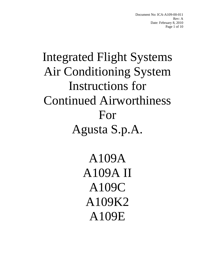Document No: ICA-A109-00-011 Rev: A Date: February 8, 2010 Page 1 of 10

# Integrated Flight Systems Air Conditioning System Instructions for Continued Airworthiness For Agusta S.p.A.

A109A A109A II A109C A109K2 A109E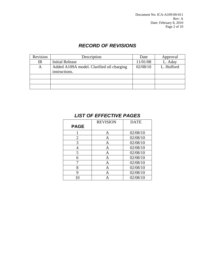Document No: ICA-A109-00-011 Rev: A Date: February 8, 2010 Page 2 of 10

## *RECORD OF REVISIONS*

| Revision | Description                                                | Date     | Approval   |
|----------|------------------------------------------------------------|----------|------------|
| IR       | <b>Initial Release</b>                                     | 11/01/08 | L. Aday    |
| A        | Added A109A model. Clarified oil charging<br>instructions. | 02/08/10 | L. Hufford |
|          |                                                            |          |            |
|          |                                                            |          |            |
|          |                                                            |          |            |

|                | <b>REVISION</b> | <b>DATE</b> |
|----------------|-----------------|-------------|
| <b>PAGE</b>    |                 |             |
|                | Α               | 02/08/10    |
| $\overline{2}$ | Α               | 02/08/10    |
| 3              | A               | 02/08/10    |
| 4              | Α               | 02/08/10    |
| 5              | Α               | 02/08/10    |
| 6              | A               | 02/08/10    |
|                | A               | 02/08/10    |
| 8              | A               | 02/08/10    |
| 9              | A               | 02/08/10    |
| 10             |                 | 02/08/10    |

## *LIST OF EFFECTIVE PAGES*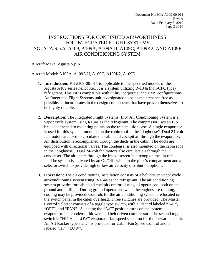Document No: ICA-A109-00-011 Rev: A Date: February 8, 2010 Page 3 of 10

## INSTRUCTIONS FOR CONTINUED AIRWORTHINESS FOR INTEGRATED FLIGHT SYSTEMS AGUSTA S.p.A. A109, A109A, A109A II, A109C, A109K2, AND A109E AIR CONDITIONING SYSTEM

Aircraft Make: Agusta S.p.A

Aircraft Model: A109A, A109A II, A109C, A109K2, A109E

- **1. Introduction:** Kit #109-00-011 is applicable to the specified models of the Agusta A109 series helicopter. It is a system utilizing R-134a (non-CFC type) refrigerant. This kit is compatible with utility, corporate, and EMS configurations. An Integrated Flight Systems unit is designated to be as maintenance free as possible. It incorporates in the design components that have proven themselves to be highly reliable.
- **2. Description:** The Integrated Flight Systems (IFS) Air Conditioning System is a vapor cycle system using R134a as the refrigerant. The compressor uses an IFS bracket attached to mounting points on the transmission case. A single evaporator is used for this system, mounted on the cabin roof in the "doghouse". Dual 24-volt fan motors are used to circulate the cabin and cockpit air through the evaporator. Air distribution is accomplished through the ducts in the cabin. The ducts are equipped with directional valves. The condenser is also mounted on the cabin roof in the "doghouse". Dual 24-volt fan motors also circulate air through the condenser. The air enters through the intake screen in a scoop on the aircraft.

The system is activated by an On/Off switch in the pilot's compartment and a selector switch to provide high or low air velocity distribution options.

**3. Operation:** The air conditioning installation consists of a belt driven vapor cycle air-conditioning system using R-134a as the refrigerant. The air conditioning system provides for cabin and cockpit comfort during all operations, both on the ground and in flight. During ground operations when the engines are running, cooling may be provided. Controls for the air conditioning system are located on the switch panel in the cabin overhead. Three switches are provided. The Master Control Selector consists of a toggle type switch, with a Placard labeled "A/C", "OFF", and "FAN". Selecting the "A/C" position turns on the system's evaporator fan, condenser blower, and belt driven compressor. The second toggle switch is "HIGH", "LOW" evaporator fan speed selection for the forward cockpit. An Aft Rocker type switch is provided for Cabin Fan Speed Control and is labeled "HI", "LOW".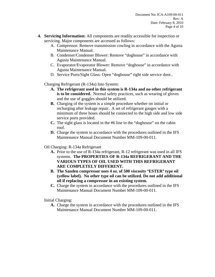- **4. Servicing Information:** All components are readily accessible for inspection or servicing. Major components are accessed as follows:
	- A. Compressor: Remove transmission cowling in accordance with the Agusta Maintenance Manual.
	- B. Condenser/Condenser Blower: Remove "doghouse" in accordance with Agusta Maintenance Manual.
	- C. Evaporator/Evaporator Blower: Remove "doghouse" in accordance with Agusta Maintenance Manual.
	- D. Service Ports/Sight Glass: Open "doghouse" right side service door..

Charging Refrigerant (R-134a) Into System:

- **A. The refrigerant used in this system is R-134a and no other refrigerant is to be considered.** Normal safety practices, such as wearing of gloves and the use of goggles should be utilized.
- **B.** Charging of the system is a simple procedure whether on initial or recharging after leakage repair. A set of refrigerant gauges with a minimum of three hoses should be connected to the high side and low side service ports provided.
- **C.** The sight glass is located in the #6 line in the "doghouse" on the cabin roof.
- **D.** Charge the system in accordance with the procedures outlined in the IFS Maintenance Manual Document Number MM-109-00-011.
- Oil Charging: R-134a Refrigerant
	- **A.** Prior to the use of R-134a refrigerant, R-12 refrigerant was used in all IFS systems. **The PROPERTIES OF R-134a REFRIGERANT AND THE VARIOUS TYPES OF OIL USED WITH THIS REFRIGERANT ARE COMPLETELY DIFFERENT.**
	- **B.** The Sanden compressor uses 4 oz. of 500 viscosity "ESTER" type oil **(yellow label). No other type oil can be utilized. Do not add additional oil if replacing a compressor in an existing system.**
	- **C.** Charge the system in accordance with the procedures outlined in the IFS Maintenance Manual Document Number MM-109-00-011.

Initial Charging:

**A.** Charge the system in accordance with the procedures outlined in the IFS Maintenance Manual Document Number MM-109-00-011.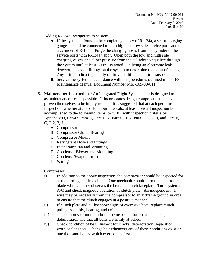Adding R-134a Refrigerant to System:

- **A.** If the system is found to be completely empty of R-134a, a set of charging gauges should be connected to both high and low side service ports and to a cylinder of R-134a. Purge the charging hoses from the cylinder to the service ports with R-134a vapor. Open both the low and high side charging valves and allow pressure from the cylinder to equalize through the system until at least 50 PSI is noted. Utilizing an electronic leak detector, check all fittings on the system to determine the point of leakage. Any fitting indicating an oily or dirty condition is a prime suspect.
- **B.** Service the system in accordance with the procedures outlined in the IFS Maintenance Manual Document Number MM-109-00-011.
- **5. Maintenance Instructions:** An Integrated Flight Systems unit is designed to be as maintenance free as possible. It incorporates design components that have proven themselves to be highly reliable. It is suggested that at each periodic inspection, whether at 50 or 100 hour intervals, at least a visual inspection be accomplished to the following items; to fulfill with inspection criteria per Appendix D, Far-43: Para A, Para B, 2, Para C, 1, 7, Para D, 2, 7, 9, and Para F, G, I, 2, 3, J.
	- A. Compressor
	- B. Compressor Clutch Bearing
	- C. Compressor Mount
	- D. Refrigerant Hose and Fittings
	- E. Evaporator Fan and Mounting
	- F. Condenser Blower and Mounting
	- G. Condense/Evaporator Coils
	- H. Wiring

Compressor:

- i) In addition to the above inspection, the compressor should be inspected for a true turning and free clutch. One mechanic should turn the main rotor blade while another observes the belt and clutch faceplate. Turn system to A/C and check magnetic operation of clutch plate. An independent #14 wire may be necessary from the compressor to an airframe ground in order to ensure that the clutch engages in a positive manner.
- ii) If clutch plate and pulley show signs of excessive heat, replace clutch pulley assembly, bearing, and coil.
- iii) The compressor mounts should be inspected for possible cracks, deterioration and that all bolts are firmly attached.
- iv) Check condition of belt. Inspect for cracks, deterioration, separation, worn or flat spots. Change belt whenever any of these conditions exist or one thousand hours, which ever comes first.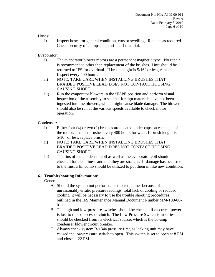Hoses:

i) Inspect hoses for general condition, cuts or swelling. Replace as required. Check security of clamps and anti-chaff material.

Evaporator:

- i) The evaporator blower motors are a permanent magnetic type. No repair is recommended other than replacement of the brushes. Unit should be returned to IFS for overhaul. If brush height is 5/16" or less, replace. Inspect every 400 hours.
- ii) NOTE: TAKE CARE WHEN INSTALLING BRUSHES THAT BRAIDED POSITIVE LEAD DOES NOT CONTACT HOUSING, CAUSING SHORT.
- $\overline{ii}$  Run the evaporator blowers in the "FAN" position and perform visual inspection of the assembly to see that foreign materials have not been ingested into the blowers, which might cause blade damage. The blowers should also be run at the various speeds available to check motor operation.

#### Condenser:

- i) Either four (4) or two (2) brushes are located under caps on each side of the motor. Inspect brushes every 400 hours for wear. If brush length is 5/16" or less, replace brush.
- ii) NOTE: TAKE CARE WHEN INSTALLING BRUSHES THAT BRAIDED POSITIVE LEAD DOES NOT CONTACT HOUSING, CAUSING SHORT.
- iii) The fins of the condenser coil as well as the evaporator coil should be checked for cleanliness and that they are straight. If damage has occurred to the fins, a fin comb should be utilized to put them in like new condition.

### **6. Troubleshooting Information:**

General:

- A. Should the system not perform as expected, either because of unreasonably erratic pressure readings, total lack of cooling or reduced cooling, it will be necessary to use the trouble shooting procedures outlined in the IFS Maintenance Manual Document Number MM-109-00- 011.
- B. The high and low-pressure switches should be checked if electrical power is lost to the compressor clutch. The Low Pressure Switch is in series, and should be checked from its electrical source, which is the 50-amp condenser blower circuit breaker.
- C. Always check system R-134a pressure first, as leaking unit may have caused the low-pressure switch to open. This switch is set to open at 8 PSI and close at 22 PSI.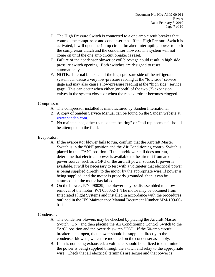- D. The High Pressure Switch is connected to a one amp circuit breaker that controls the compressor and condenser fans. If the High Pressure Switch is activated, it will open the 1 amp circuit breaker, interrupting power to both the compressor clutch and the condenser blowers. The system will not come on until the one amp circuit breaker is reset.
- E. Failure of the condenser blower or coil blockage could result in high side pressure switch opening. Both switches are designed to reset automatically.
- F. **NOTE**: Internal blockage of the high-pressure side of the refrigerant system can cause a very low-pressure reading at the "low side" service gage and may also cause a low-pressure reading at the "high side" service gage. This can occur when either (or both) of the two (2) expansion valves in the system closes or when the receiver/drier becomes clogged.

#### Compressor:

- A. The compressor installed is manufactured by Sanden International.
- B. A copy of Sanden Service Manual can be found on the Sanden website at www.sanden.com.
- C. No maintenance, other than "clutch bearing" or "coil replacement" should be attempted in the field.

#### Evaporator:

- A. If the evaporator blower fails to run, confirm that the Aircraft Master Switch is in the "ON" position and the Air Conditioning control Switch is placed in the "FAN" position. If the fan/blower still does not run, determine that electrical power is available to the aircraft from an outside power source, such as a GPU or the aircraft power source. If power is available, it will be necessary to test with a voltmeter that electrical power is being supplied directly to the motor by the appropriate wire. If power is being supplied, and the motor is properly grounded, then it can be assumed that the motor has failed.
- B. On the blower, P/N 490029, the blower may be disassembled to allow removal of the motor, P/N 050052-1. The motor may be obtained from Integrated Flight Systems and installed in accordance with the procedures outlined in the IFS Maintenance Manual Document Number MM-109-00- 011.

### Condenser:

- A. The condenser blowers may be checked by placing the Aircraft Master Switch "ON" and then placing the Air Conditioning Control Switch to the "A/C" position and the override switch "ON". If the 50-amp circuit breaker is not open, then power should be supplied directly to the condenser blowers, which are mounted on the condenser assembly.
- B. If air is not being exhausted, a voltmeter should be utilized to determine if the power is being supplied through the switch and relay to the appropriate wire. Check that all electrical terminals are secure and that power is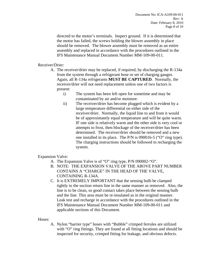directed to the motor's terminals. Inspect ground. If it is determined that the motor has failed, the screws holding the blower assembly in place should be removed. The blower assembly must be removed as an entire assembly and replaced in accordance with the procedures outlined in the IFS Maintenance Manual Document Number MM-109-00-011.

Receiver/Drier:

- A. The receiver/drier may be replaced, if required, by discharging the R-134a from the system through a refrigerant hose or set of charging gauges. Again, all R-134a refrigerants **MUST BE CAPTURED**. Normally, the receiver/drier will not need replacement unless one of two factors is present:
	- i) The system has been left open for sometime and may be contaminated by air and/or moisture.
	- ii) The receiver/drier has become plugged which is evident by a large temperature differential on either side of the receiver/drier. Normally, the liquid line to and from it would be of approximately equal temperature and will be quite warm. IF one side is relatively warm and the other side is very cool or attempts to frost, then blockage of the receiver/drier has been determined. The receiver/drier should be removed and a new one installed in its place. The P/N is 090016-5 ("O" ring type). The charging instructions should be followed in recharging the system.

Expansion Valve:

- A. The Expansion Valve is of "O" ring type, P/N 090002-"O".
- B. NOTE: THE EXPANSION VALVE OF THE ABOVE PART NUMBER CONTAINS A "CHARGE" IN THE HEAD OF THE VALVE, CONTAINING R-134A.
- C. It is EXTREMELY IMPORTANT that the sensing bulb be clamped tightly to the suction return line in the same manner as removed. Also, the line is to be clean, so good contact takes place between the sensing bulb and the line. This area must be re-insulated as in the original manner. Leak test and recharge in accordance with the procedures outlined in the IFS Maintenance Manual Document Number MM-109-00-011 and applicable sections of this Document.

Hoses:

A. Nylon "barrier type" hoses with "Bubble" crimped ferrules are utilized with "O" ring fittings. They are found at all fitting locations and should be inspected for security, crimped fitting for leakage, and obvious defects.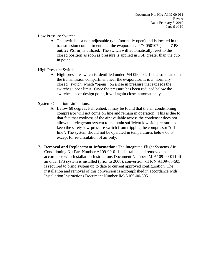Low Pressure Switch:

A. This switch is a non-adjustable type (normally open) and is located in the transmission compartment near the evaporator. P/N 050107 (set at 7 PSI out, 22 PSI in) is utilized. The switch will automatically reset to the closed position as soon as pressure is applied in PSI, greater than the cutin point.

High Pressure Switch:

A. High-pressure switch is identified under P/N 090004. It is also located in the transmission compartment near the evaporator. It is a "normally closed" switch, which "opens" on a rise in pressure that exceeds the switches upper limit. Once the pressure has been reduced below the switches upper design point, it will again close, automatically.

System Operation Limitations:

- A. Below 60 degrees Fahrenheit, it may be found that the air conditioning compressor will not come on line and remain in operation. This is due to that fact that coolness of the air available across the condenser does not allow the refrigerant system to maintain sufficient low side pressure to keep the safety low-pressure switch from tripping the compressor "off line". The system should not be operated in temperatures below 66°F, except for re-circulation of air only.
- **7. Removal and Replacement Information:** The Integrated Flight Systems Air Conditioning Kit Part Number A109-00-011 is installed and removed in accordance with Installation Instructions Document Number IM-A109-00-011. If an older IFS system is installed (prior to 2008), conversion kit P/N A109-00-505 is required to bring system up to date to current approved configuration. The installation and removal of this conversion is accomplished in accordance with Installation Instructions Document Number IM-A109-00-505.